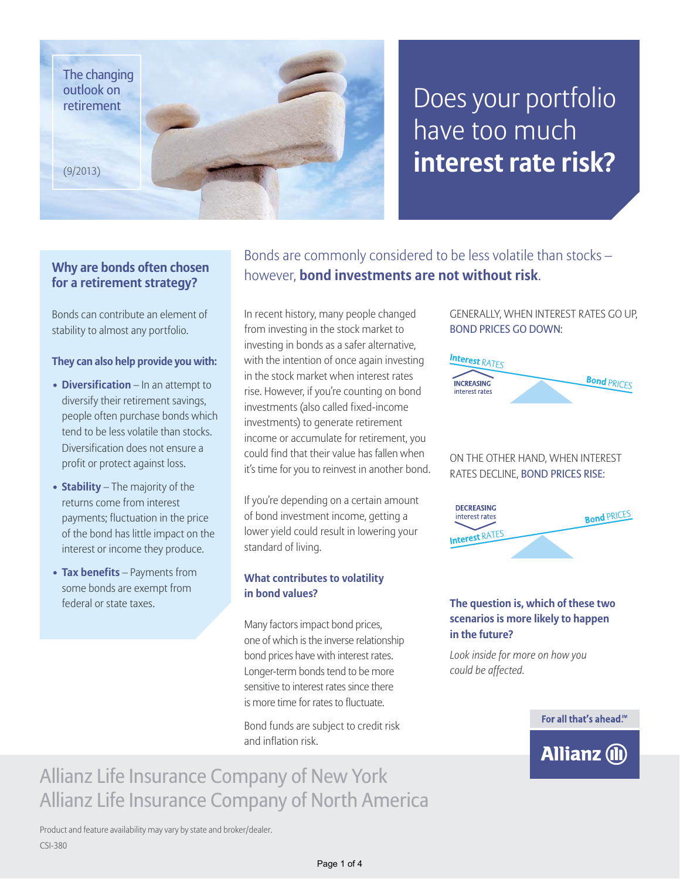The changing outlook on retirement

(9/2013)

## Does your portfolio have too much **interest rate risk?**

### **Why are bonds often chosen for a retirement strategy?**

Bonds can contribute an element of stability to almost any portfolio.

#### **They can also help provide you with:**

- **Diversification** In an attempt to diversify their retirement savings, people often purchase bonds which tend to be less volatile than stocks. Diversification does not ensure a profit or protect against loss.
- **Stability** The majority of the returns come from interest payments; fluctuation in the price of the bond has little impact on the interest or income they produce.
- **Tax benefits** Payments from some bonds are exempt from federal or state taxes.

Bonds are commonly considered to be less volatile than stocks – however, **bond investments are not without risk**.

In recent history, many people changed from investing in the stock market to investing in bonds as a safer alternative, with the intention of once again investing in the stock market when interest rates rise. However, if you're counting on bond investments (also called fixed-income investments) to generate retirement income or accumulate for retirement, you could find that their value has fallen when it's time for you to reinvest in another bond.

If you're depending on a certain amount of bond investment income, getting a lower yield could result in lowering your standard of living.

### **What contributes to volatility in bond values?**

Many factors impact bond prices, one of which is the inverse relationship bond prices have with interest rates. Longer-term bonds tend to be more sensitive to interest rates since there is more time for rates to fluctuate.

Bond funds are subject to credit risk and inflation risk.

### GENERALLY, WHEN INTEREST RATES GO UP, BOND PRICES GO DOWN:



### ON THE OTHER HAND, WHEN INTEREST RATES DECLINE, BOND PRICES RISE:



### **The question is, which of these two scenarios is more likely to happen in the future?**

*Look inside for more on how you could be affected.*



### Allianz Life Insurance Company of New York Allianz Life Insurance Company of North America

Product and feature availability may vary by state and broker/dealer. CSI-380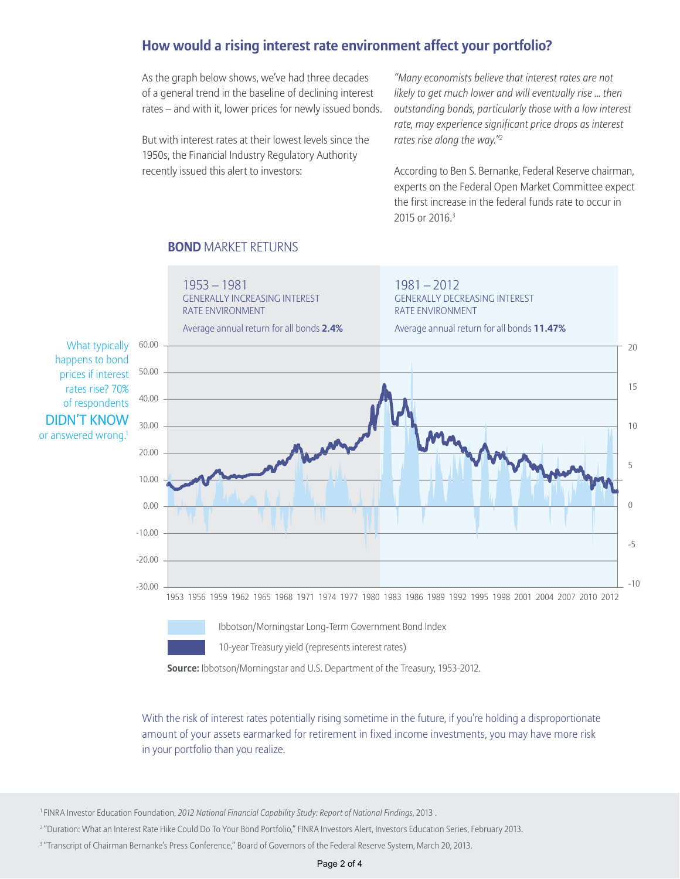### **How would a rising interest rate environment affect your portfolio?**

As the graph below shows, we've had three decades of a general trend in the baseline of declining interest rates – and with it, lower prices for newly issued bonds.

But with interest rates at their lowest levels since the 1950s, the Financial Industry Regulatory Authority recently issued this alert to investors:

*"Many economists believe that interest rates are not likely to get much lower and will eventually rise ... then outstanding bonds, particularly those with a low interest rate, may experience significant price drops as interest rates rise along the way."2*

According to Ben S. Bernanke, Federal Reserve chairman, experts on the Federal Open Market Committee expect the first increase in the federal funds rate to occur in 2015 or 2016.3

### **BOND** MARKET RETURNS



10-year Treasury yield (represents interest rates)

**Source:** Ibbotson/Morningstar and U.S. Department of the Treasury, 1953-2012.

With the risk of interest rates potentially rising sometime in the future, if you're holding a disproportionate amount of your assets earmarked for retirement in fixed income investments, you may have more risk in your portfolio than you realize.

1 FINRA Investor Education Foundation, *2012 National Financial Capability Study: Report of National Findings*, 2013 .

<sup>2</sup> "Duration: What an Interest Rate Hike Could Do To Your Bond Portfolio," FINRA Investors Alert, Investors Education Series, February 2013.

<sup>3</sup> "Transcript of Chairman Bernanke's Press Conference," Board of Governors of the Federal Reserve System, March 20, 2013.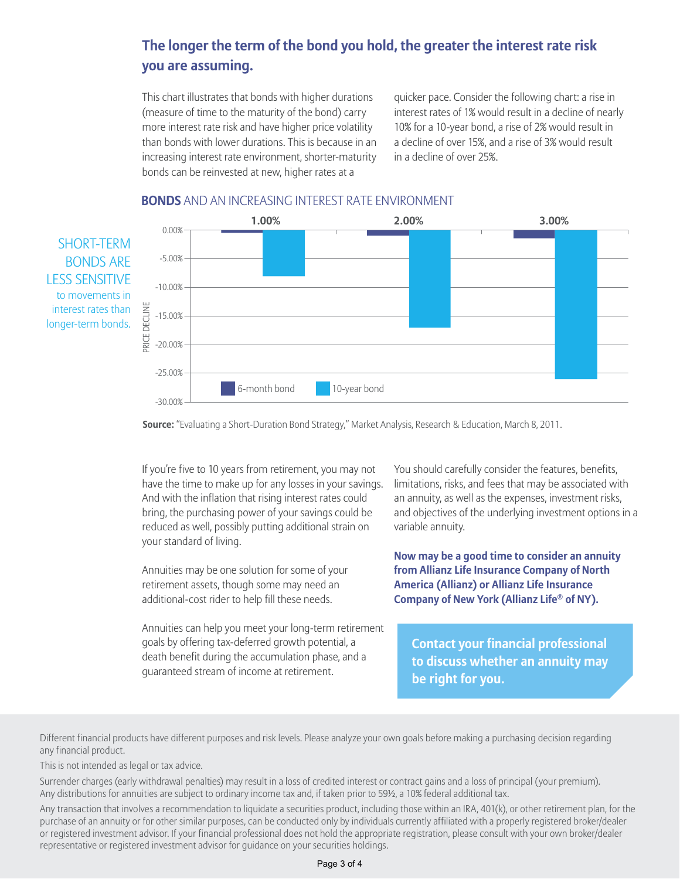### **The longer the term of the bond you hold, the greater the interest rate risk you are assuming.**

This chart illustrates that bonds with higher durations (measure of time to the maturity of the bond) carry more interest rate risk and have higher price volatility than bonds with lower durations. This is because in an increasing interest rate environment, shorter-maturity bonds can be reinvested at new, higher rates at a

quicker pace. Consider the following chart: a rise in interest rates of 1% would result in a decline of nearly 10% for a 10-year bond, a rise of 2% would result in a decline of over 15%, and a rise of 3% would result in a decline of over 25%.

### **BONDS** AND AN INCREASING INTEREST RATE ENVIRONMENT

SHORT-TERM BONDS ARE LESS SENSITIVE to movements in interest rates than longer-term bonds.



**Source:** "Evaluating a Short-Duration Bond Strategy," Market Analysis, Research & Education, March 8, 2011.

If you're five to 10 years from retirement, you may not have the time to make up for any losses in your savings. And with the inflation that rising interest rates could bring, the purchasing power of your savings could be reduced as well, possibly putting additional strain on your standard of living.

Annuities may be one solution for some of your retirement assets, though some may need an additional-cost rider to help fill these needs.

Annuities can help you meet your long-term retirement goals by offering tax-deferred growth potential, a death benefit during the accumulation phase, and a guaranteed stream of income at retirement.

You should carefully consider the features, benefits, limitations, risks, and fees that may be associated with an annuity, as well as the expenses, investment risks, and objectives of the underlying investment options in a variable annuity.

**Now may be a good time to consider an annuity from Allianz Life Insurance Company of North America (Allianz) or Allianz Life Insurance Company of New York (Allianz Life® of NY).** 

**Contact your financial professional to discuss whether an annuity may be right for you.**

Different financial products have different purposes and risk levels. Please analyze your own goals before making a purchasing decision regarding any financial product.

This is not intended as legal or tax advice.

Surrender charges (early withdrawal penalties) may result in a loss of credited interest or contract gains and a loss of principal (your premium). Any distributions for annuities are subject to ordinary income tax and, if taken prior to 59½, a 10% federal additional tax.

Any transaction that involves a recommendation to liquidate a securities product, including those within an IRA, 401(k), or other retirement plan, for the purchase of an annuity or for other similar purposes, can be conducted only by individuals currently affiliated with a properly registered broker/dealer or registered investment advisor. If your financial professional does not hold the appropriate registration, please consult with your own broker/dealer representative or registered investment advisor for guidance on your securities holdings.